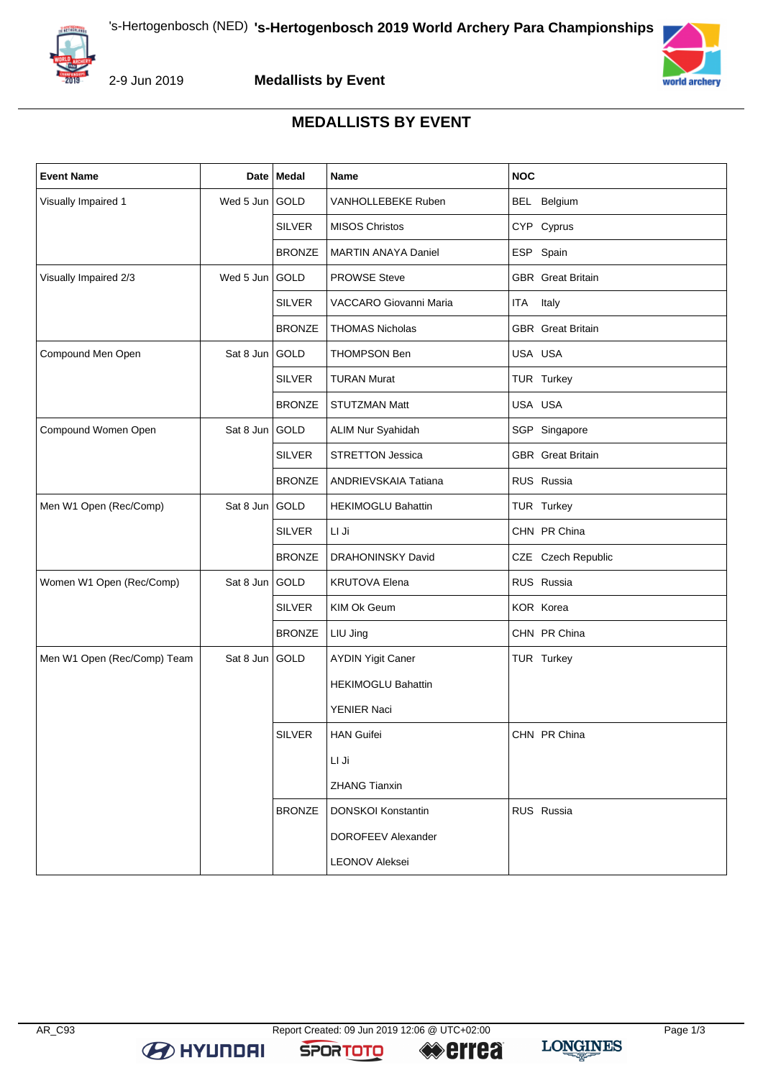



## **MEDALLISTS BY EVENT**

| <b>Event Name</b>           |           | Date   Medal  | <b>Name</b>                | <b>NOC</b>               |
|-----------------------------|-----------|---------------|----------------------------|--------------------------|
| Visually Impaired 1         | Wed 5 Jun | GOLD          | VANHOLLEBEKE Ruben         | BEL Belgium              |
|                             |           | <b>SILVER</b> | <b>MISOS Christos</b>      | CYP Cyprus               |
|                             |           | <b>BRONZE</b> | <b>MARTIN ANAYA Daniel</b> | ESP Spain                |
| Visually Impaired 2/3       | Wed 5 Jun | GOLD          | <b>PROWSE Steve</b>        | <b>GBR</b> Great Britain |
|                             |           | <b>SILVER</b> | VACCARO Giovanni Maria     | ITA<br>Italy             |
|                             |           | <b>BRONZE</b> | <b>THOMAS Nicholas</b>     | <b>GBR</b> Great Britain |
| Compound Men Open           | Sat 8 Jun | GOLD          | THOMPSON Ben               | USA USA                  |
|                             |           | <b>SILVER</b> | <b>TURAN Murat</b>         | TUR Turkey               |
|                             |           | <b>BRONZE</b> | <b>STUTZMAN Matt</b>       | USA USA                  |
| Compound Women Open         | Sat 8 Jun | GOLD          | ALIM Nur Syahidah          | SGP Singapore            |
|                             |           | <b>SILVER</b> | <b>STRETTON Jessica</b>    | <b>GBR</b> Great Britain |
|                             |           | <b>BRONZE</b> | ANDRIEVSKAIA Tatiana       | RUS Russia               |
| Men W1 Open (Rec/Comp)      | Sat 8 Jun | l GOLD        | <b>HEKIMOGLU Bahattin</b>  | TUR Turkey               |
|                             |           | <b>SILVER</b> | LI Ji                      | CHN PR China             |
|                             |           | <b>BRONZE</b> | DRAHONINSKY David          | CZE Czech Republic       |
| Women W1 Open (Rec/Comp)    | Sat 8 Jun | GOLD          | <b>KRUTOVA Elena</b>       | RUS Russia               |
|                             |           | <b>SILVER</b> | KIM Ok Geum                | KOR Korea                |
|                             |           | <b>BRONZE</b> | LIU Jing                   | CHN PR China             |
| Men W1 Open (Rec/Comp) Team | Sat 8 Jun | GOLD          | <b>AYDIN Yigit Caner</b>   | TUR Turkey               |
|                             |           |               | <b>HEKIMOGLU Bahattin</b>  |                          |
|                             |           |               | <b>YENIER Naci</b>         |                          |
|                             |           | <b>SILVER</b> | <b>HAN Guifei</b>          | CHN PR China             |
|                             |           |               | LI Ji                      |                          |
|                             |           |               | <b>ZHANG Tianxin</b>       |                          |
|                             |           | <b>BRONZE</b> | <b>DONSKOI Konstantin</b>  | RUS Russia               |
|                             |           |               | <b>DOROFEEV Alexander</b>  |                          |
|                             |           |               | <b>LEONOV Aleksei</b>      |                          |

**SPORTOTO**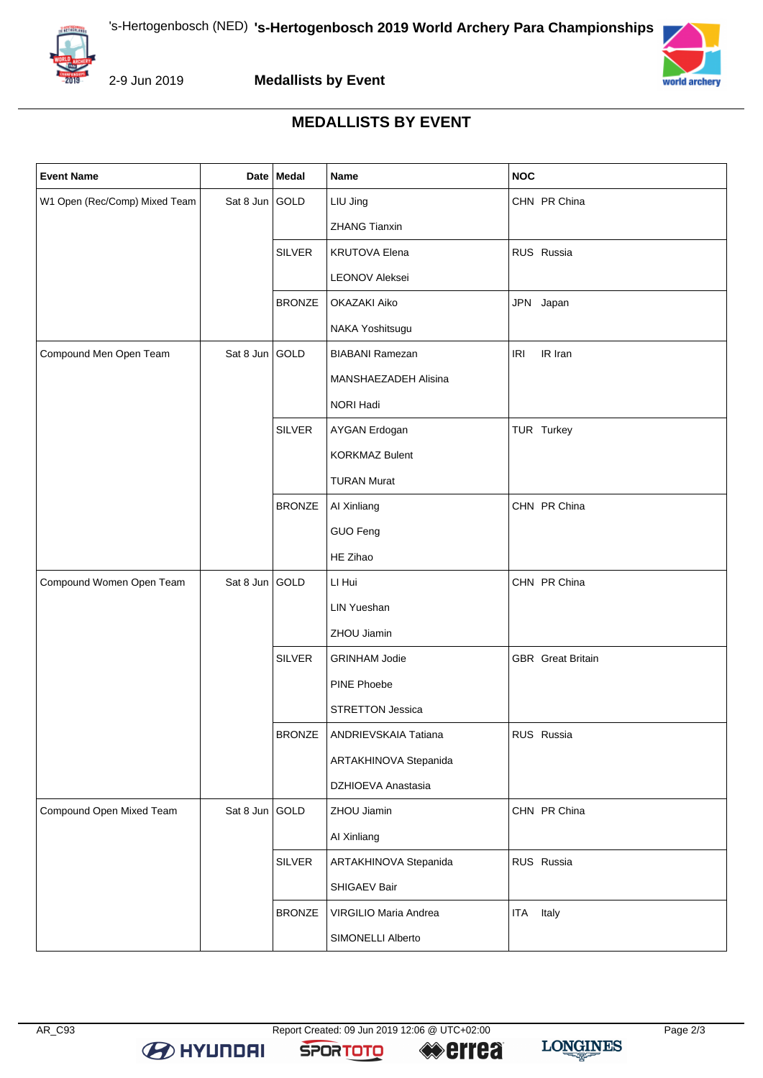



2-9 Jun 2019

**Medallists by Event**



## **MEDALLISTS BY EVENT**

| <b>Event Name</b>             |                | Date Medal    | Name                    | <b>NOC</b>               |
|-------------------------------|----------------|---------------|-------------------------|--------------------------|
| W1 Open (Rec/Comp) Mixed Team | Sat 8 Jun GOLD |               | LIU Jing                | CHN PR China             |
|                               |                |               | <b>ZHANG Tianxin</b>    |                          |
|                               |                | SILVER        | <b>KRUTOVA Elena</b>    | RUS Russia               |
|                               |                |               | <b>LEONOV Aleksei</b>   |                          |
|                               |                | <b>BRONZE</b> | OKAZAKI Aiko            | JPN Japan                |
|                               |                |               | NAKA Yoshitsugu         |                          |
| Compound Men Open Team        | Sat 8 Jun GOLD |               | <b>BIABANI Ramezan</b>  | IR Iran<br><b>IRI</b>    |
|                               |                |               | MANSHAEZADEH Alisina    |                          |
|                               |                |               | NORI Hadi               |                          |
|                               |                | SILVER        | AYGAN Erdogan           | TUR Turkey               |
|                               |                |               | <b>KORKMAZ Bulent</b>   |                          |
|                               |                |               | <b>TURAN Murat</b>      |                          |
|                               |                | <b>BRONZE</b> | Al Xinliang             | CHN PR China             |
|                               |                |               | GUO Feng                |                          |
|                               |                |               | HE Zihao                |                          |
| Compound Women Open Team      | Sat 8 Jun GOLD |               | LI Hui                  | CHN PR China             |
|                               |                |               | <b>LIN Yueshan</b>      |                          |
|                               |                |               | ZHOU Jiamin             |                          |
|                               |                | <b>SILVER</b> | <b>GRINHAM Jodie</b>    | <b>GBR</b> Great Britain |
|                               |                |               | PINE Phoebe             |                          |
|                               |                |               | <b>STRETTON Jessica</b> |                          |
|                               |                | <b>BRONZE</b> | ANDRIEVSKAIA Tatiana    | RUS Russia               |
|                               |                |               | ARTAKHINOVA Stepanida   |                          |
|                               |                |               | DZHIOEVA Anastasia      |                          |
| Compound Open Mixed Team      | Sat 8 Jun GOLD |               | ZHOU Jiamin             | CHN PR China             |
|                               |                |               | Al Xinliang             |                          |
|                               |                | <b>SILVER</b> | ARTAKHINOVA Stepanida   | RUS Russia               |
|                               |                |               | SHIGAEV Bair            |                          |
|                               |                | <b>BRONZE</b> | VIRGILIO Maria Andrea   | Italy<br><b>ITA</b>      |
|                               |                |               | SIMONELLI Alberto       |                          |

**SPORTOTO** 

**LONGINES**